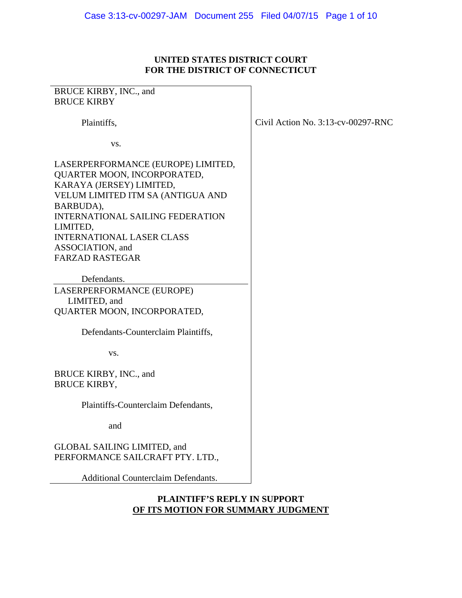# **UNITED STATES DISTRICT COURT FOR THE DISTRICT OF CONNECTICUT**

| BRUCE KIRBY, INC., and                     |                                       |
|--------------------------------------------|---------------------------------------|
| <b>BRUCE KIRBY</b>                         |                                       |
|                                            |                                       |
| Plaintiffs,                                | Civil Action No. $3:13$ -cv-00297-RNC |
|                                            |                                       |
| VS.                                        |                                       |
|                                            |                                       |
| LASERPERFORMANCE (EUROPE) LIMITED,         |                                       |
| QUARTER MOON, INCORPORATED,                |                                       |
| KARAYA (JERSEY) LIMITED,                   |                                       |
| VELUM LIMITED ITM SA (ANTIGUA AND          |                                       |
| BARBUDA),                                  |                                       |
| <b>INTERNATIONAL SAILING FEDERATION</b>    |                                       |
| LIMITED,                                   |                                       |
| <b>INTERNATIONAL LASER CLASS</b>           |                                       |
| ASSOCIATION, and                           |                                       |
| <b>FARZAD RASTEGAR</b>                     |                                       |
|                                            |                                       |
| Defendants.                                |                                       |
| LASERPERFORMANCE (EUROPE)                  |                                       |
| LIMITED, and                               |                                       |
| QUARTER MOON, INCORPORATED,                |                                       |
|                                            |                                       |
| Defendants-Counterclaim Plaintiffs,        |                                       |
|                                            |                                       |
| VS.                                        |                                       |
|                                            |                                       |
| BRUCE KIRBY, INC., and                     |                                       |
| <b>BRUCE KIRBY,</b>                        |                                       |
|                                            |                                       |
| Plaintiffs-Counterclaim Defendants,        |                                       |
|                                            |                                       |
| and                                        |                                       |
|                                            |                                       |
| GLOBAL SAILING LIMITED, and                |                                       |
| PERFORMANCE SAILCRAFT PTY. LTD.,           |                                       |
|                                            |                                       |
| <b>Additional Counterclaim Defendants.</b> |                                       |

## **PLAINTIFF'S REPLY IN SUPPORT OF ITS MOTION FOR SUMMARY JUDGMENT**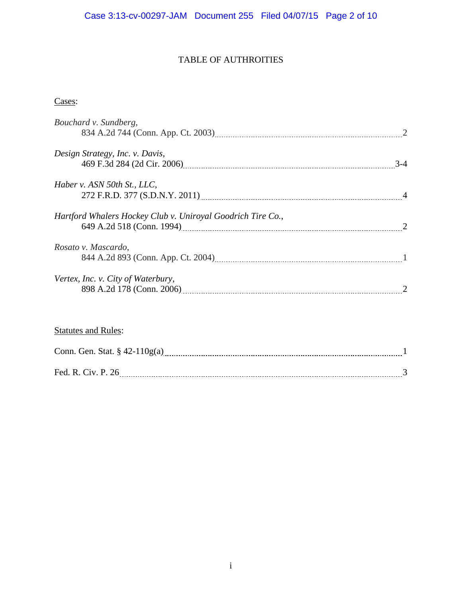# TABLE OF AUTHROITIES

# Cases:

| Bouchard v. Sundberg,                                                                                                                                                                                                                                                |  |
|----------------------------------------------------------------------------------------------------------------------------------------------------------------------------------------------------------------------------------------------------------------------|--|
| Design Strategy, Inc. v. Davis,<br>469 F.3d 284 (2d Cir. 2006) 24                                                                                                                                                                                                    |  |
| Haber v. ASN 50th St., LLC,                                                                                                                                                                                                                                          |  |
| Hartford Whalers Hockey Club v. Uniroyal Goodrich Tire Co.,<br>649 A.2d 518 (Conn. 1994) 2008 - 2010 12:00 12:00 12:00 13:00 14:00 14:00 14:00 14:00 14:00 14:00 14:00 14:00 1                                                                                       |  |
| Rosato v. Mascardo,                                                                                                                                                                                                                                                  |  |
| Vertex, Inc. v. City of Waterbury,<br>898 A.2d 178 (Conn. 2006) [11] 2006 [21] 2010 [21] 2012 [21] 2012 [21] 2012 [21] 2012 [21] 2012 [21] 2012 [21] 2012 [21] 2012 [21] 2012 [21] 2012 [21] 2012 [21] 2012 [21] 2012 [21] 2012 [21] 2012 [21] 2012 [21] 2012 [21] 2 |  |
|                                                                                                                                                                                                                                                                      |  |
| <b>Statutes and Rules:</b>                                                                                                                                                                                                                                           |  |
|                                                                                                                                                                                                                                                                      |  |
|                                                                                                                                                                                                                                                                      |  |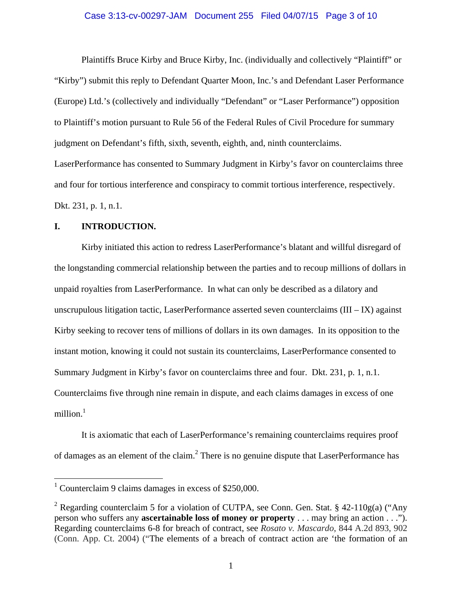#### Case 3:13-cv-00297-JAM Document 255 Filed 04/07/15 Page 3 of 10

 Plaintiffs Bruce Kirby and Bruce Kirby, Inc. (individually and collectively "Plaintiff" or "Kirby") submit this reply to Defendant Quarter Moon, Inc.'s and Defendant Laser Performance (Europe) Ltd.'s (collectively and individually "Defendant" or "Laser Performance") opposition to Plaintiff's motion pursuant to Rule 56 of the Federal Rules of Civil Procedure for summary judgment on Defendant's fifth, sixth, seventh, eighth, and, ninth counterclaims. LaserPerformance has consented to Summary Judgment in Kirby's favor on counterclaims three and four for tortious interference and conspiracy to commit tortious interference, respectively. Dkt. 231, p. 1, n.1.

#### **I. INTRODUCTION.**

Kirby initiated this action to redress LaserPerformance's blatant and willful disregard of the longstanding commercial relationship between the parties and to recoup millions of dollars in unpaid royalties from LaserPerformance. In what can only be described as a dilatory and unscrupulous litigation tactic, LaserPerformance asserted seven counterclaims  $(III - IX)$  against Kirby seeking to recover tens of millions of dollars in its own damages. In its opposition to the instant motion, knowing it could not sustain its counterclaims, LaserPerformance consented to Summary Judgment in Kirby's favor on counterclaims three and four. Dkt. 231, p. 1, n.1. Counterclaims five through nine remain in dispute, and each claims damages in excess of one million. $<sup>1</sup>$ </sup>

It is axiomatic that each of LaserPerformance's remaining counterclaims requires proof of damages as an element of the claim.<sup>2</sup> There is no genuine dispute that LaserPerformance has

<sup>&</sup>lt;sup>1</sup> Counterclaim 9 claims damages in excess of \$250,000.

<sup>&</sup>lt;sup>2</sup> Regarding counterclaim 5 for a violation of CUTPA, see Conn. Gen. Stat. § 42-110g(a) ("Any person who suffers any **ascertainable loss of money or property** . . . may bring an action . . ."). Regarding counterclaims 6-8 for breach of contract, see *Rosato v. Mascardo*, 844 A.2d 893, 902 (Conn. App. Ct. 2004) ("The elements of a breach of contract action are 'the formation of an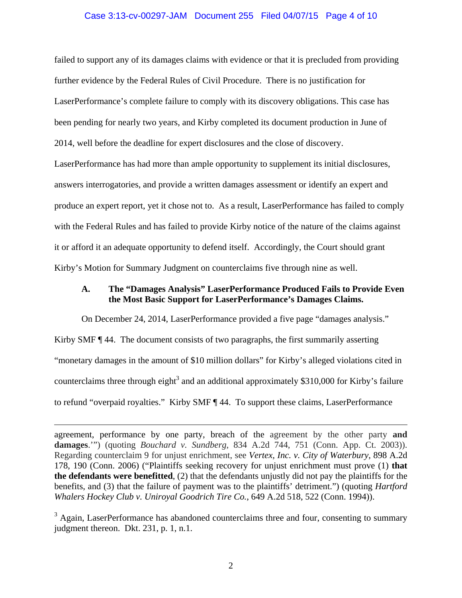#### Case 3:13-cv-00297-JAM Document 255 Filed 04/07/15 Page 4 of 10

failed to support any of its damages claims with evidence or that it is precluded from providing further evidence by the Federal Rules of Civil Procedure. There is no justification for LaserPerformance's complete failure to comply with its discovery obligations. This case has been pending for nearly two years, and Kirby completed its document production in June of 2014, well before the deadline for expert disclosures and the close of discovery.

LaserPerformance has had more than ample opportunity to supplement its initial disclosures, answers interrogatories, and provide a written damages assessment or identify an expert and produce an expert report, yet it chose not to. As a result, LaserPerformance has failed to comply with the Federal Rules and has failed to provide Kirby notice of the nature of the claims against it or afford it an adequate opportunity to defend itself. Accordingly, the Court should grant Kirby's Motion for Summary Judgment on counterclaims five through nine as well.

### **A. The "Damages Analysis" LaserPerformance Produced Fails to Provide Even the Most Basic Support for LaserPerformance's Damages Claims.**

On December 24, 2014, LaserPerformance provided a five page "damages analysis."

Kirby SMF ¶ 44. The document consists of two paragraphs, the first summarily asserting "monetary damages in the amount of \$10 million dollars" for Kirby's alleged violations cited in counterclaims three through eight<sup>3</sup> and an additional approximately \$310,000 for Kirby's failure to refund "overpaid royalties." Kirby SMF ¶ 44. To support these claims, LaserPerformance

 $\overline{a}$ 

agreement, performance by one party, breach of the agreement by the other party **and damages**.'") (quoting *Bouchard v. Sundberg*, 834 A.2d 744, 751 (Conn. App. Ct. 2003)). Regarding counterclaim 9 for unjust enrichment, see *Vertex, Inc. v. City of Waterbury*, 898 A.2d 178, 190 (Conn. 2006) ("Plaintiffs seeking recovery for unjust enrichment must prove (1) **that the defendants were benefitted**, (2) that the defendants unjustly did not pay the plaintiffs for the benefits, and (3) that the failure of payment was to the plaintiffs' detriment.") (quoting *Hartford Whalers Hockey Club v. Uniroyal Goodrich Tire Co.*, 649 A.2d 518, 522 (Conn. 1994)).

 $3$  Again, LaserPerformance has abandoned counterclaims three and four, consenting to summary judgment thereon. Dkt. 231, p. 1, n.1.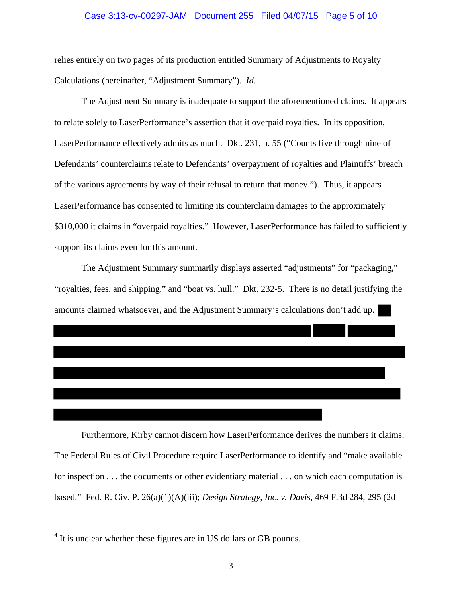#### Case 3:13-cv-00297-JAM Document 255 Filed 04/07/15 Page 5 of 10

relies entirely on two pages of its production entitled Summary of Adjustments to Royalty Calculations (hereinafter, "Adjustment Summary"). *Id.*

 The Adjustment Summary is inadequate to support the aforementioned claims. It appears to relate solely to LaserPerformance's assertion that it overpaid royalties. In its opposition, LaserPerformance effectively admits as much. Dkt. 231, p. 55 ("Counts five through nine of Defendants' counterclaims relate to Defendants' overpayment of royalties and Plaintiffs' breach of the various agreements by way of their refusal to return that money."). Thus, it appears LaserPerformance has consented to limiting its counterclaim damages to the approximately \$310,000 it claims in "overpaid royalties." However, LaserPerformance has failed to sufficiently support its claims even for this amount.

 The Adjustment Summary summarily displays asserted "adjustments" for "packaging," "royalties, fees, and shipping," and "boat vs. hull." Dkt. 232-5. There is no detail justifying the amounts claimed whatsoever, and the Adjustment Summary's calculations don't add up.

 Furthermore, Kirby cannot discern how LaserPerformance derives the numbers it claims. The Federal Rules of Civil Procedure require LaserPerformance to identify and "make available for inspection . . . the documents or other evidentiary material . . . on which each computation is based." Fed. R. Civ. P. 26(a)(1)(A)(iii); *Design Strategy, Inc. v. Davis*, 469 F.3d 284, 295 (2d

<sup>&</sup>lt;sup>4</sup> It is unclear whether these figures are in US dollars or GB pounds.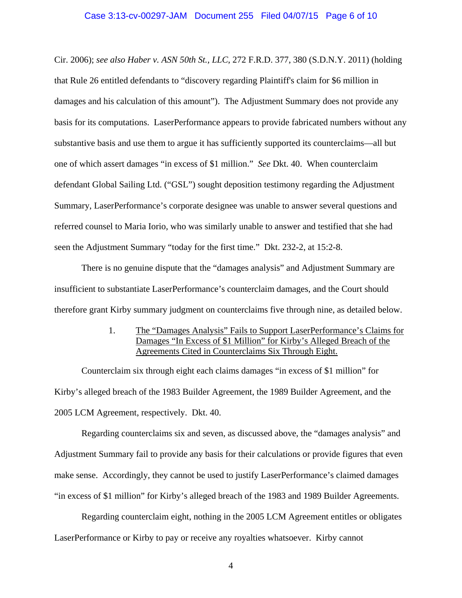#### Case 3:13-cv-00297-JAM Document 255 Filed 04/07/15 Page 6 of 10

Cir. 2006); *see also Haber v. ASN 50th St., LLC*, 272 F.R.D. 377, 380 (S.D.N.Y. 2011) (holding that Rule 26 entitled defendants to "discovery regarding Plaintiff's claim for \$6 million in damages and his calculation of this amount"). The Adjustment Summary does not provide any basis for its computations. LaserPerformance appears to provide fabricated numbers without any substantive basis and use them to argue it has sufficiently supported its counterclaims—all but one of which assert damages "in excess of \$1 million." *See* Dkt. 40. When counterclaim defendant Global Sailing Ltd. ("GSL") sought deposition testimony regarding the Adjustment Summary, LaserPerformance's corporate designee was unable to answer several questions and referred counsel to Maria Iorio, who was similarly unable to answer and testified that she had seen the Adjustment Summary "today for the first time." Dkt. 232-2, at 15:2-8.

There is no genuine dispute that the "damages analysis" and Adjustment Summary are insufficient to substantiate LaserPerformance's counterclaim damages, and the Court should therefore grant Kirby summary judgment on counterclaims five through nine, as detailed below.

> 1. The "Damages Analysis" Fails to Support LaserPerformance's Claims for Damages "In Excess of \$1 Million" for Kirby's Alleged Breach of the Agreements Cited in Counterclaims Six Through Eight.

Counterclaim six through eight each claims damages "in excess of \$1 million" for Kirby's alleged breach of the 1983 Builder Agreement, the 1989 Builder Agreement, and the 2005 LCM Agreement, respectively. Dkt. 40.

Regarding counterclaims six and seven, as discussed above, the "damages analysis" and Adjustment Summary fail to provide any basis for their calculations or provide figures that even make sense. Accordingly, they cannot be used to justify LaserPerformance's claimed damages "in excess of \$1 million" for Kirby's alleged breach of the 1983 and 1989 Builder Agreements.

Regarding counterclaim eight, nothing in the 2005 LCM Agreement entitles or obligates LaserPerformance or Kirby to pay or receive any royalties whatsoever. Kirby cannot

4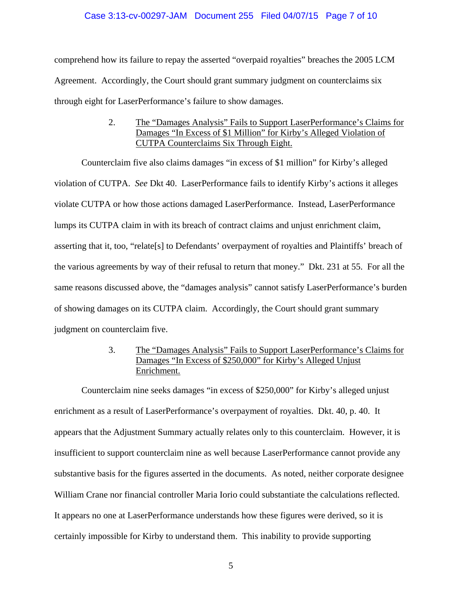#### Case 3:13-cv-00297-JAM Document 255 Filed 04/07/15 Page 7 of 10

comprehend how its failure to repay the asserted "overpaid royalties" breaches the 2005 LCM Agreement. Accordingly, the Court should grant summary judgment on counterclaims six through eight for LaserPerformance's failure to show damages.

> 2. The "Damages Analysis" Fails to Support LaserPerformance's Claims for Damages "In Excess of \$1 Million" for Kirby's Alleged Violation of CUTPA Counterclaims Six Through Eight.

 Counterclaim five also claims damages "in excess of \$1 million" for Kirby's alleged violation of CUTPA. *See* Dkt 40. LaserPerformance fails to identify Kirby's actions it alleges violate CUTPA or how those actions damaged LaserPerformance. Instead, LaserPerformance lumps its CUTPA claim in with its breach of contract claims and unjust enrichment claim, asserting that it, too, "relate[s] to Defendants' overpayment of royalties and Plaintiffs' breach of the various agreements by way of their refusal to return that money." Dkt. 231 at 55. For all the same reasons discussed above, the "damages analysis" cannot satisfy LaserPerformance's burden of showing damages on its CUTPA claim. Accordingly, the Court should grant summary judgment on counterclaim five.

> 3. The "Damages Analysis" Fails to Support LaserPerformance's Claims for Damages "In Excess of \$250,000" for Kirby's Alleged Unjust Enrichment.

 Counterclaim nine seeks damages "in excess of \$250,000" for Kirby's alleged unjust enrichment as a result of LaserPerformance's overpayment of royalties. Dkt. 40, p. 40. It appears that the Adjustment Summary actually relates only to this counterclaim. However, it is insufficient to support counterclaim nine as well because LaserPerformance cannot provide any substantive basis for the figures asserted in the documents. As noted, neither corporate designee William Crane nor financial controller Maria Iorio could substantiate the calculations reflected. It appears no one at LaserPerformance understands how these figures were derived, so it is certainly impossible for Kirby to understand them. This inability to provide supporting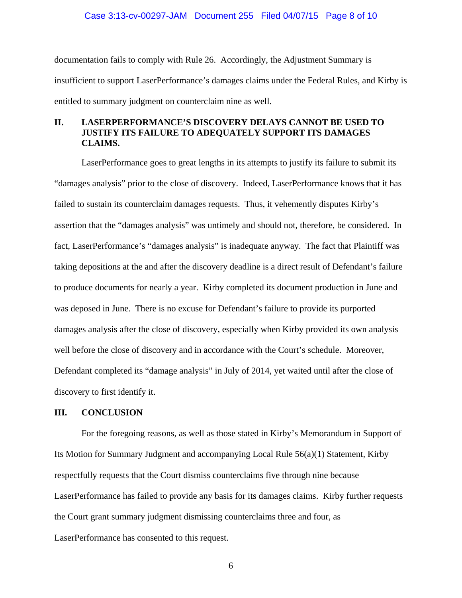#### Case 3:13-cv-00297-JAM Document 255 Filed 04/07/15 Page 8 of 10

documentation fails to comply with Rule 26. Accordingly, the Adjustment Summary is insufficient to support LaserPerformance's damages claims under the Federal Rules, and Kirby is entitled to summary judgment on counterclaim nine as well.

## **II. LASERPERFORMANCE'S DISCOVERY DELAYS CANNOT BE USED TO JUSTIFY ITS FAILURE TO ADEQUATELY SUPPORT ITS DAMAGES CLAIMS.**

 LaserPerformance goes to great lengths in its attempts to justify its failure to submit its "damages analysis" prior to the close of discovery. Indeed, LaserPerformance knows that it has failed to sustain its counterclaim damages requests. Thus, it vehemently disputes Kirby's assertion that the "damages analysis" was untimely and should not, therefore, be considered. In fact, LaserPerformance's "damages analysis" is inadequate anyway. The fact that Plaintiff was taking depositions at the and after the discovery deadline is a direct result of Defendant's failure to produce documents for nearly a year. Kirby completed its document production in June and was deposed in June. There is no excuse for Defendant's failure to provide its purported damages analysis after the close of discovery, especially when Kirby provided its own analysis well before the close of discovery and in accordance with the Court's schedule. Moreover, Defendant completed its "damage analysis" in July of 2014, yet waited until after the close of discovery to first identify it.

#### **III. CONCLUSION**

 For the foregoing reasons, as well as those stated in Kirby's Memorandum in Support of Its Motion for Summary Judgment and accompanying Local Rule 56(a)(1) Statement, Kirby respectfully requests that the Court dismiss counterclaims five through nine because LaserPerformance has failed to provide any basis for its damages claims. Kirby further requests the Court grant summary judgment dismissing counterclaims three and four, as LaserPerformance has consented to this request.

6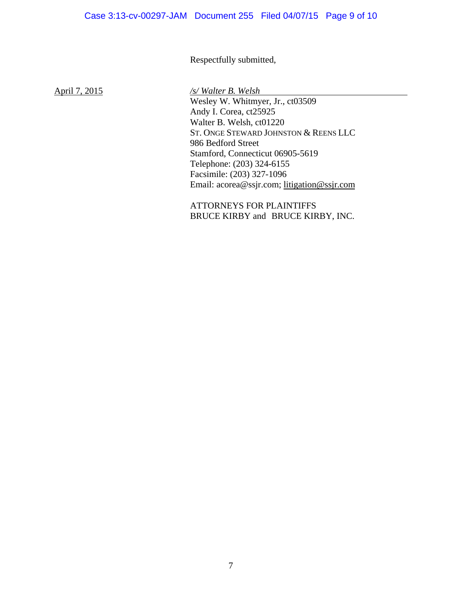# Respectfully submitted,

April 7, 2015 */s/ Walter B. Welsh*

 Wesley W. Whitmyer, Jr., ct03509 Andy I. Corea, ct25925 Walter B. Welsh, ct01220 ST. ONGE STEWARD JOHNSTON & REENS LLC 986 Bedford Street Stamford, Connecticut 06905-5619 Telephone: (203) 324-6155 Facsimile: (203) 327-1096 Email: acorea@ssjr.com; litigation@ssjr.com

 ATTORNEYS FOR PLAINTIFFS BRUCE KIRBY and BRUCE KIRBY, INC.